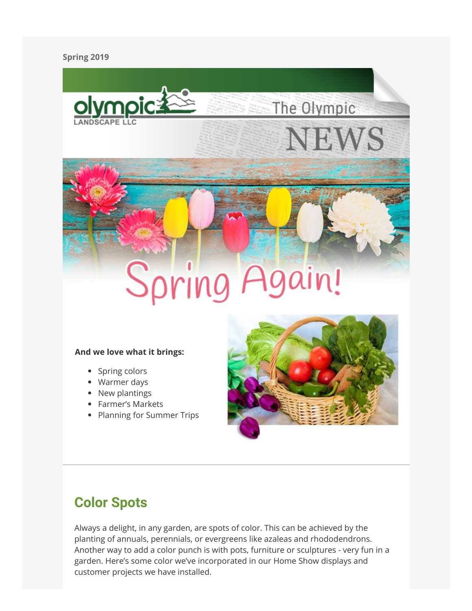### **Spring 2019**



## Spring ain!

### **And we love what it brings:**

- Spring colors
- Warmer days
- New plantings
- Farmer's Markets
- Planning for Summer Trips



The Olympic

**JEWS** 

## **Color Spots**

Always a delight, in any garden, are spots of color. This can be achieved by the planting of annuals, perennials, or evergreens like azaleas and rhododendrons. Another way to add a color punch is with pots, furniture or sculptures - very fun in a garden. Here's some color we've incorporated in our Home Show displays and customer projects we have installed.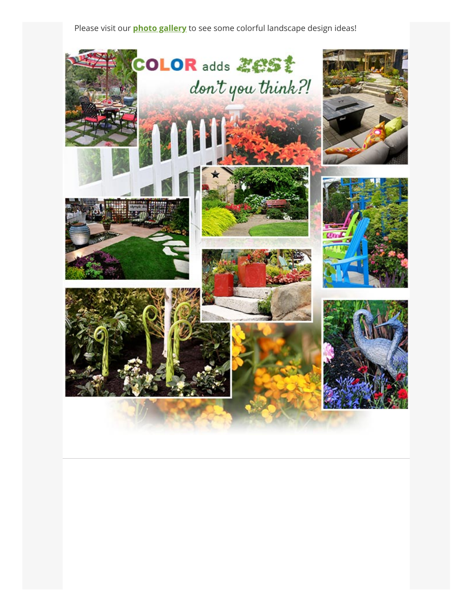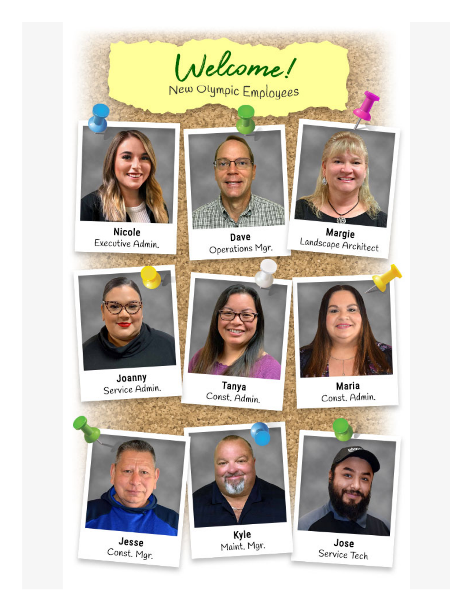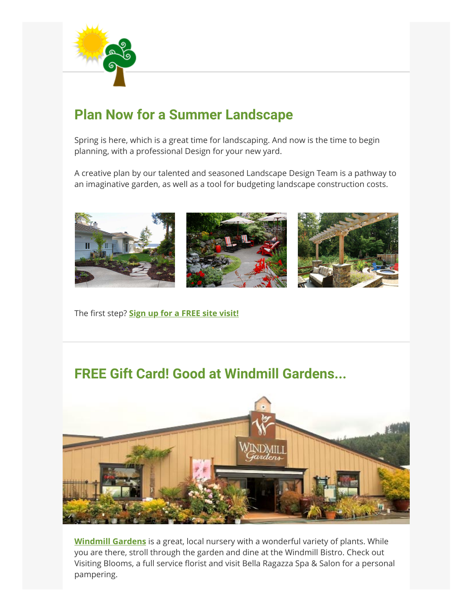

## **Plan Now for a Summer Landscape**

Spring is here, which is a great time for landscaping. And now is the time to begin planning, with a professional Design for your new yard.

A creative plan by our talented and seasoned Landscape Design Team is a pathway to an imaginative garden, as well as a tool for budgeting landscape construction costs.



### The first step? **[Sign up for a FREE site visit!](https://click.icptrack.com/icp/rclick.php?cid=267924&mid=787330&destination=https%3A%2F%2Fwww.olympiclandscape.com%2Fspecialoffers.htm)**

## **FREE Gift Card! Good at Windmill Gardens...**



**[Windmill Gardens](https://click.icptrack.com/icp/rclick.php?cid=267924&mid=787330&destination=http%3A%2F%2Fwww.windmillgarden.com%2F)** is a great, local nursery with a wonderful variety of plants. While you are there, stroll through the garden and dine at the Windmill Bistro. Check out Visiting Blooms, a full service florist and visit Bella Ragazza Spa & Salon for a personal pampering.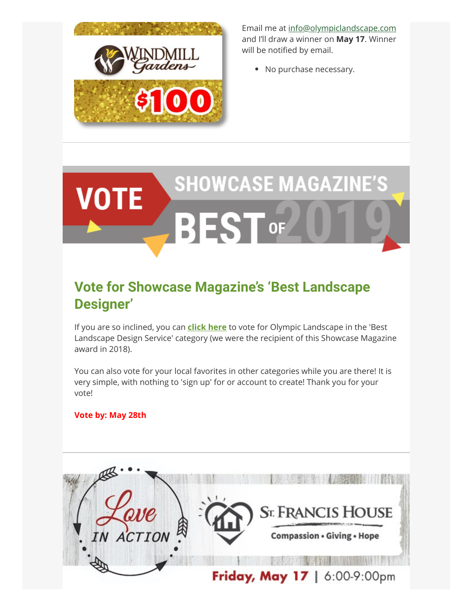

Email me at [info@olympiclandscape.com](mailto:info@olympiclandscape.com?subject=Free%20Windmill%20Gardens%20Gift%20Card%20Entry) and I'll draw a winner on **May 17**. Winner will be notified by email.

• No purchase necessary.

# **SHOWCASE MAGAZINE'S VOTE BEST OF**

## **Vote for Showcase Magazine's 'Best Landscape Designer'**

If you are so inclined, you can **[click here](https://click.icptrack.com/icp/rclick.php?cid=267924&mid=787330&destination=http%3A%2F%2Fwww.showcasemedialive.com%2F2019-best-of-poll)** to vote for Olympic Landscape in the 'Best Landscape Design Service' category (we were the recipient of this Showcase Magazine award in 2018).

You can also vote for your local favorites in other categories while you are there! It is very simple, with nothing to 'sign up' for or account to create! Thank you for your vote!

### **Vote by: May 28th**

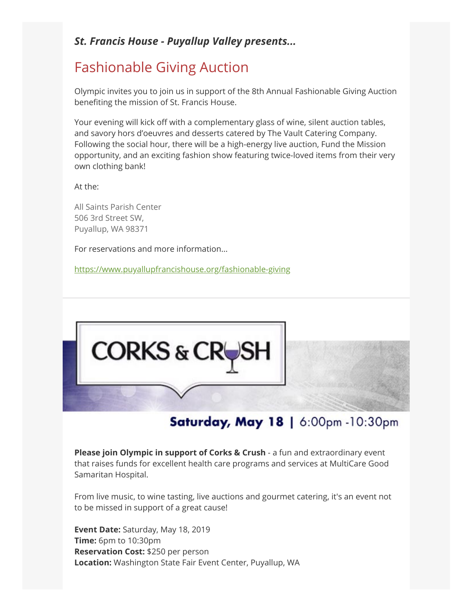### *St. Francis House - Puyallup Valley presents...*

## Fashionable Giving Auction

Olympic invites you to join us in support of the 8th Annual Fashionable Giving Auction beneting the mission of St. Francis House.

Your evening will kick off with a complementary glass of wine, silent auction tables, and savory hors d'oeuvres and desserts catered by The Vault Catering Company. Following the social hour, there will be a high-energy live auction, Fund the Mission opportunity, and an exciting fashion show featuring twice-loved items from their very own clothing bank!

At the:

All Saints Parish Center 506 3rd Street SW, Puyallup, WA 98371

For reservations and more information...

[https://www.puyallupfrancishouse.org/fashionable-giving](https://click.icptrack.com/icp/rclick.php?cid=267924&mid=787330&destination=https%3A%2F%2Fwww.puyallupfrancishouse.org%2Ffashionable-giving)



## Saturday, May 18 | 6:00pm -10:30pm

**Please join Olympic in support of Corks & Crush** - a fun and extraordinary event that raises funds for excellent health care programs and services at MultiCare Good Samaritan Hospital.

From live music, to wine tasting, live auctions and gourmet catering, it's an event not to be missed in support of a great cause!

**Event Date:** Saturday, May 18, 2019 **Time:** 6pm to 10:30pm **Reservation Cost:** \$250 per person **Location:** Washington State Fair Event Center, Puyallup, WA